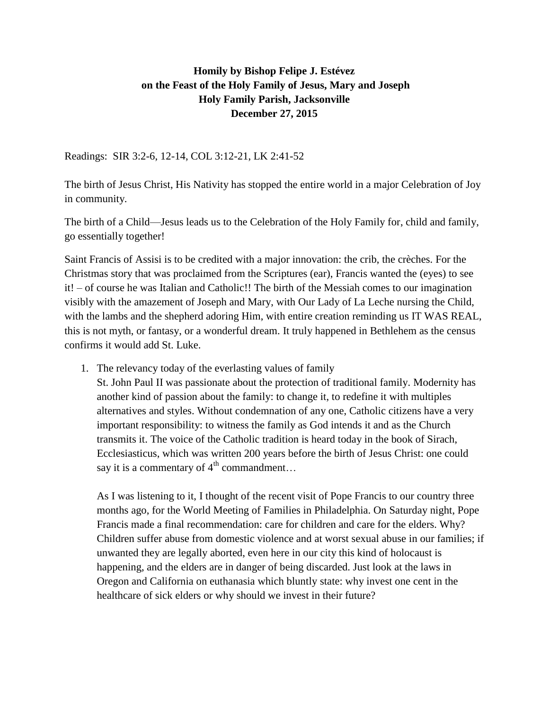## **Homily by Bishop Felipe J. Estévez on the Feast of the Holy Family of Jesus, Mary and Joseph Holy Family Parish, Jacksonville December 27, 2015**

Readings: SIR 3:2-6, 12-14, COL 3:12-21, LK 2:41-52

The birth of Jesus Christ, His Nativity has stopped the entire world in a major Celebration of Joy in community.

The birth of a Child—Jesus leads us to the Celebration of the Holy Family for, child and family, go essentially together!

Saint Francis of Assisi is to be credited with a major innovation: the crib, the crèches. For the Christmas story that was proclaimed from the Scriptures (ear), Francis wanted the (eyes) to see it! – of course he was Italian and Catholic!! The birth of the Messiah comes to our imagination visibly with the amazement of Joseph and Mary, with Our Lady of La Leche nursing the Child, with the lambs and the shepherd adoring Him, with entire creation reminding us IT WAS REAL, this is not myth, or fantasy, or a wonderful dream. It truly happened in Bethlehem as the census confirms it would add St. Luke.

1. The relevancy today of the everlasting values of family

St. John Paul II was passionate about the protection of traditional family. Modernity has another kind of passion about the family: to change it, to redefine it with multiples alternatives and styles. Without condemnation of any one, Catholic citizens have a very important responsibility: to witness the family as God intends it and as the Church transmits it. The voice of the Catholic tradition is heard today in the book of Sirach, Ecclesiasticus, which was written 200 years before the birth of Jesus Christ: one could say it is a commentary of  $4^{th}$  commandment...

As I was listening to it, I thought of the recent visit of Pope Francis to our country three months ago, for the World Meeting of Families in Philadelphia. On Saturday night, Pope Francis made a final recommendation: care for children and care for the elders. Why? Children suffer abuse from domestic violence and at worst sexual abuse in our families; if unwanted they are legally aborted, even here in our city this kind of holocaust is happening, and the elders are in danger of being discarded. Just look at the laws in Oregon and California on euthanasia which bluntly state: why invest one cent in the healthcare of sick elders or why should we invest in their future?